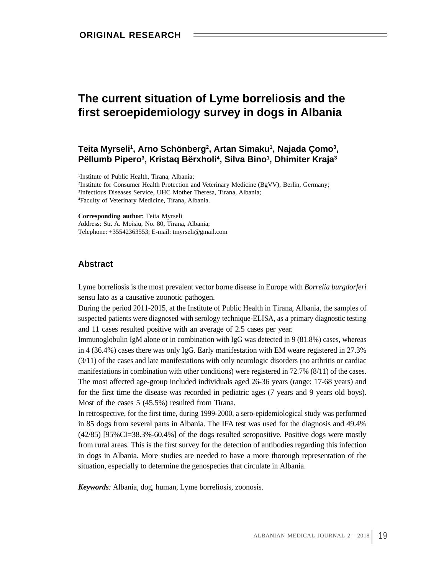# **The current situation of Lyme borreliosis and the first seroepidemiology survey in dogs in Albania**

### Teita Myrseli<sup>1</sup>, Arno Schönberg<sup>2</sup>, Artan Simaku<sup>1</sup>, Najada Çomo<sup>3</sup>, **, Najada Çomo 3 ,** Pëllumb Pipero<sup>3</sup>, Kristaq Bërxholi<sup>4</sup>, Silva Bino<sup>1</sup>, Dhimiter Kraja<sup>3</sup> **, Dhimiter Kraja3**

 Institute of Public Health, Tirana, Albania; Institute for Consumer Health Protection and Veterinary Medicine (BgVV), Berlin, Germany; Infectious Diseases Service, UHC Mother Theresa, Tirana, Albania; 4Faculty of Veterinary Medicine, Tirana, Albania.

**Corresponding author**: Teita Myrseli

Address: Str. A. Moisiu, No. 80, Tirana, Albania; Telephone: +35542363553; E-mail: tmyrseli@gmail.com

## **Abstract**

Lyme borreliosis is the most prevalent vector borne disease in Europe with *Borrelia burgdorferi* sensu lato as a causative zoonotic pathogen.

During the period 2011-2015, at the Institute of Public Health in Tirana, Albania, the samples of suspected patients were diagnosed with serology technique-ELISA, as a primary diagnostic testing and 11 cases resulted positive with an average of 2.5 cases per year.

Immunoglobulin IgM alone or in combination with IgG was detected in 9 (81.8%) cases, whereas in 4 (36.4%) cases there was only IgG. Early manifestation with EM weare registered in 27.3% (3/11) of the cases and late manifestations with only neurologic disorders (no arthritis or cardiac manifestations in combination with other conditions) were registered in 72.7% (8/11) of the cases. The most affected age-group included individuals aged 26-36 years (range: 17-68 years) and for the first time the disease was recorded in pediatric ages (7 years and 9 years old boys). Most of the cases 5 (45.5%) resulted from Tirana.

In retrospective, for the first time, during 1999-2000, a sero-epidemiological study was performed in 85 dogs from several parts in Albania. The IFA test was used for the diagnosis and 49.4% (42/85) [95%CI=38.3%-60.4%] of the dogs resulted seropositive. Positive dogs were mostly from rural areas. This is the first survey for the detection of antibodies regarding this infection in dogs in Albania. More studies are needed to have a more thorough representation of the situation, especially to determine the genospecies that circulate in Albania.

*Keywords:* Albania, dog, human, Lyme borreliosis, zoonosis.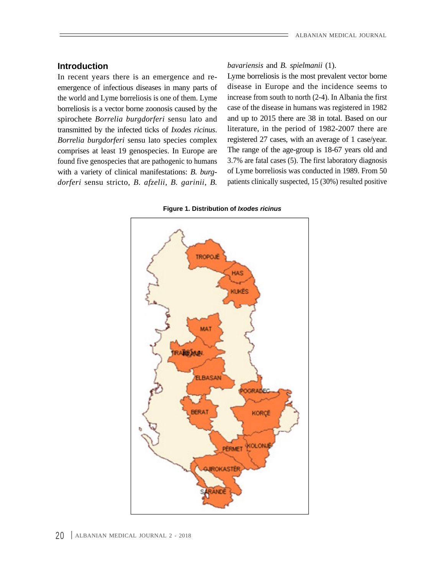In recent years there is an emergence and re emergence of infectious diseases in many parts of the world and Lyme borreliosis is one of them. Lyme borreliosis is a vector borne zoonosis caused by the spirochete *Borrelia burgdorferi* sensu lato and transmitted by the infected ticks of *Ixodes ricinus*. *Borrelia burgdorferi* sensu lato species complex found five genospecies that are pathogenic to humans with a variety of clinical manifestations: *B. burg dorferi* sensu stricto, *B. afzelii*, *B. garinii*, *B.*

**Introduction** *bavariensis* and *B. spielmanii* (1). *bavariensis* and *B. spielmanii* (1).

comprises at least 19 genospecies. In Europe are The range of the age-group is 18-67 years old and Lyme borreliosis is the most prevalent vector borne disease in Europe and the incidence seems to increase from south to north (2-4). In Albania the first case of the disease in humans was registered in 1982 and up to 2015 there are 38 in total. Based on our literature, in the period of 1982-2007 there are registered 27 cases, with an average of 1 case/year. 3.7% are fatal cases (5). The first laboratory diagnosis of Lyme borreliosis was conducted in 1989. From 50 patients clinically suspected, 15 (30%) resulted positive

**Figure 1. Distribution of Ixodes ricinus**

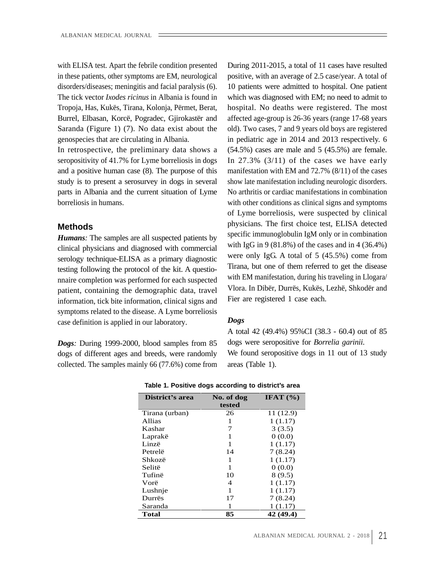with ELISA test. Apart the febrile condition presented disorders/diseases; meningitis and facial paralysis (6).

seropositivity of 41.7% for Lyme borreliosis in dogs study is to present a serosurvey in dogs in several parts in Albania and the current situation of Lyme borreliosis in humans.

*Humans:* The samples are all suspected patients by clinical physicians and diagnosed with commercial serology technique-ELISA as a primary diagnostic testing following the protocol of the kit. A questio nnaire completion was performed for each suspected patient, containing the demographic data, travel information, tick bite information, clinical signs and symptoms related to the disease. A Lyme borreliosis case definition is applied in our laboratory. Dogs

*Dogs:* During 1999-2000, blood samples from 85 dogs of different ages and breeds, were randomly collected. The samples mainly 66 (77.6%) come from areas (Table 1).

**Methods Methods Methods Methods Methods Methods Methods Methods Methods Methods Methods Methods Methods Methods Methods Methods Methods Methods Methods Methods Methods Methods M** During 2011-2015, a total of 11 cases have resulted in these patients, other symptoms are EM, neurological positive, with an average of 2.5 case/year. A total of 10 patients were admitted to hospital. One patient The tick vector *Ixodes ricinus* in Albania is found in which was diagnosed with EM; no need to admit to Tropoja, Has, Kukës, Tirana, Kolonja, Përmet, Berat, hospital. No deaths were registered. The most Burrel, Elbasan, Korcë, Pogradec, Gjirokastër and affected age-group is 26-36 years (range 17-68 years Saranda (Figure 1) (7). No data exist about the old). Two cases, 7 and 9 years old boys are registered in pediatric age in 2014 and 2013 respectively. 6 genospecies that are circulating in Albania. In retrospective, the preliminary data shows a  $(54.5%)$  cases are male and  $5(45.5%)$  are female. In 27.3% (3/11) of the cases we have early and a positive human case (8). The purpose of this manifestation with EM and 72.7% (8/11) of the cases show late manifestation including neurologic disorders. No arthritis or cardiac manifestations in combination with other conditions as clinical signs and symptoms of Lyme borreliosis, were suspected by clinical physicians. The first choice test, ELISA detected specific immunoglobulin IgM only or in combination with IgG in 9 (81.8%) of the cases and in 4 (36.4%) were only IgG. A total of 5 (45.5%) come from Tirana, but one of them referred to get the disease with EM manifestation, during his traveling in Llogara/ Vlora. In Dibër, Durrës, Kukës, Lezhë, Shkodër and Fier are registered 1 case each.

### *Dogs*

A total 42 (49.4%) 95%CI (38.3 - 60.4) out of 85 dogs were seropositive for *Borrelia garinii*. We found seropositive dogs in 11 out of 13 study areas (Table 1).

| District's area             | No. of dog | IFAT $(\% )$ |
|-----------------------------|------------|--------------|
|                             | tested     |              |
| Tirana (urban)              | 26         | 11(12.9)     |
| Allias                      |            | 1(1.17)      |
| Kashar                      |            | 3(3.5)       |
|                             |            | 0(0.0)       |
|                             |            | 1(1.17)      |
| Laprakë<br>Linzë<br>Petrelë | 14         | 7(8.24)      |
|                             |            | 1(1.17)      |
| Shkozë<br>Selitë            |            | 0(0.0)       |
| Tufinë                      | 10         | 8(9.5)       |
|                             |            | 1(1.17)      |
| Vorë<br>Lushnje             |            | 1(1.17)      |
| Durrës                      | 17         | 7(8.24)      |
| Saranda                     |            | 1(1.17)      |
| <b>Total</b>                | 85         | 42(49.4)     |

| Table 1. Positive dogs according to district's area |  |
|-----------------------------------------------------|--|
|                                                     |  |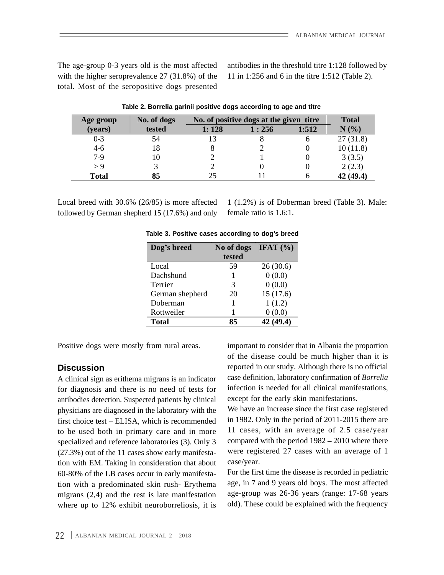The age-group 0-3 years old is the most affected with the higher seroprevalence 27 (31.8%) of the total. Most of the seropositive dogs presented

antibodies in the threshold titre 1:128 followed by 11 in 1:256 and 6 in the titre 1:512 (Table 2).

| Age group    | No. of dogs |       | No. of positive dogs at the given titre |       | <b>Total</b> |
|--------------|-------------|-------|-----------------------------------------|-------|--------------|
| (years)      | tested      | 4:128 | 1:256                                   | 1:512 | N(%)         |
| $0 - 3$      |             |       |                                         |       | 27(31.8)     |
| -4-ก         |             |       |                                         |       | 10(11.8)     |
|              |             |       |                                         |       | 3(3.5)       |
| - ບ          |             |       |                                         |       | 2(2.3)       |
| <b>Total</b> |             |       |                                         |       | 42 (49.4)    |

| and titre<br>Table 2. Borrelia u<br>sitive doas ac<br><sub>⊶id</sub> qarinii positi<br>:cording to age a<br>$\sim$ DVIIVIII.<br>IUNIV 1 |  |  |
|-----------------------------------------------------------------------------------------------------------------------------------------|--|--|
|                                                                                                                                         |  |  |

Local breed with 30.6% (26/85) is more affected followed by German shepherd 15 (17.6%) and only female ratio is 1.6:1.

1 (1.2%) is of Doberman breed (Table 3). Male: female ratio is 1.6:1.

| Dog's breed     | No of dogs IFAT $(\% )$ |          |
|-----------------|-------------------------|----------|
| Local           | tested<br>59            | 26(30.6) |
| Dachshund       |                         | 0(0.0)   |
| Terrier         |                         | 0(0.0)   |
| German shepherd | 20                      | 15(17.6) |
| Doberman        |                         | 1(1.2)   |
| Rottweiler      |                         | 0(0.0)   |
| <b>Total</b>    | 85                      | 42(49.4) |

**Table 3. Positive cases according to dog s breed**

A clinical sign as erithema migrans is an indicator for diagnosis and there is no need of tests for antibodies detection. Suspected patients by clinical physicians are diagnosed in the laboratory with the first choice test - ELISA, which is recommended to be used both in primary care and in more specialized and reference laboratories (3). Only 3 (27.3%) out of the 11 cases show early manifestation with EM. Taking in consideration that about case/year. 60-80% of the LB cases occur in early manifestation with a predominated skin rush- Erythema migrans (2,4) and the rest is late manifestation where up to 12% exhibit neuroborreliosis, it is

Positive dogs were mostly from rural areas. important to consider that in Albania the proportion **Discussion reported** in our study. Although there is no official of the disease could be much higher than it is case definition, laboratory confirmation of *Borrelia* infection is needed for all clinical manifestations, except for the early skin manifestations.

> We have an increase since the first case registered in 1982. Only in the period of 2011-2015 there are 11 cases, with an average of 2.5 case/year compared with the period  $1982 - 2010$  where there were registered 27 cases with an average of 1 case/year.

For the first time the disease is recorded in pediatric age, in 7 and 9 years old boys. The most affected age-group was 26-36 years (range: 17-68 years old). These could be explained with the frequency